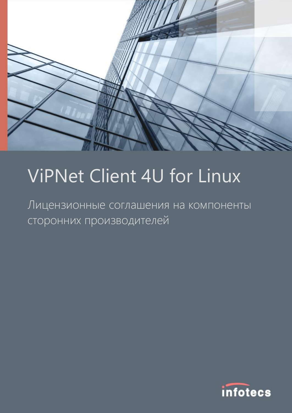

# ViPNet Client 4U for Linux

Лицензионные соглашения на компоненты сторонних производителей

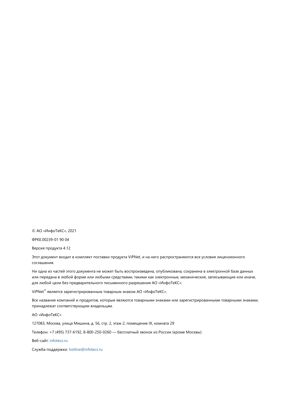© АО «ИнфоТеКС», 2021

ФРКЕ.00239-01 90 04

Версия продукта 4.12

Этот документ входит в комплект поставки продукта ViPNet, и на него распространяются все условия лицензионного соглашения.

Ни одна из частей этого документа не может быть воспроизведена, опубликована, сохранена в электронной базе данных или передана в любой форме или любыми средствами, такими как электронные, механические, записывающие или иначе, для любой цели без предварительного письменного разрешения АО «ИнфоТеКС».

ViPNet® является зарегистрированным товарным знаком АО «ИнфоТеКС».

Все названия компаний и продуктов, которые являются товарными знаками или зарегистрированными товарными знаками, принадлежат соответствующим владельцам.

АО «ИнфоТеКС»

127083, Москва, улица Мишина, д. 56, стр. 2, этаж 2, помещение IX, комната 29

Телефон: +7 (495) 737-6192, 8-800-250-0260 — бесплатный звонок из России (кроме Москвы)

Веб-сайт: [infotecs.ru](https://infotecs.ru/)

Служба поддержки: [hotline@infotecs.ru](mailto:hotline@infotecs.ru)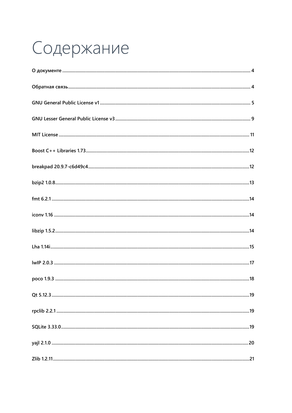# Содержание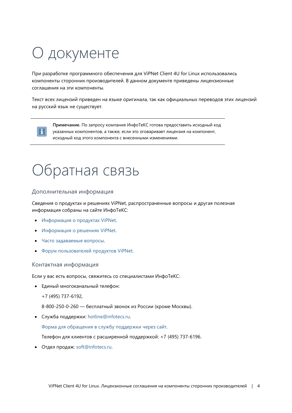# <span id="page-3-0"></span>О документе

При разработке программного обеспечения для ViPNet Client 4U for Linux использовались компоненты сторонних производителей. В данном документе приведены лицензионные соглашения на эти компоненты.

Текст всех лицензий приведен на языке оригинала, так как официальных переводов этих лицензий на русский язык не существует.



**Примечание.** По запросу компания ИнфоТеКС готова предоставить исходный код указанных компонентов, а также, если это оговаривает лицензия на компонент, исходный код этого компонента с внесенными изменениями.

### <span id="page-3-1"></span>Обратная связь

### Дополнительная информация

Сведения о продуктах и решениях ViPNet, распространенные вопросы и другая полезная информация собраны на сайте ИнфоТеКС:

- [Информация о продуктах ViPNet](https://infotecs.ru/product/).
- [Информация о решениях ViPNet](https://infotecs.ru/resheniya/).
- [Часто задаваемые вопросы](https://infotecs.ru/support/faq/).
- [Форум пользователей продуктов ViPNet](https://infotecs.ru/forum/).

#### Контактная информация

Если у вас есть вопросы, свяжитесь со специалистами ИнфоТеКС:

- Единый многоканальный телефон:
	- +7 (495) 737-6192,

8-800-250-0-260 — бесплатный звонок из России (кроме Москвы).

Служба поддержки: [hotline@infotecs.ru.](mailto:hotline@infotecs.ru)

[Форма для обращения в службу поддержки через сайт](https://infotecs.ru/support/request/).

Телефон для клиентов с расширенной поддержкой: +7 (495) 737-6196.

Отдел продаж: [soft@infotecs.ru.](mailto:soft@infotecs.ru)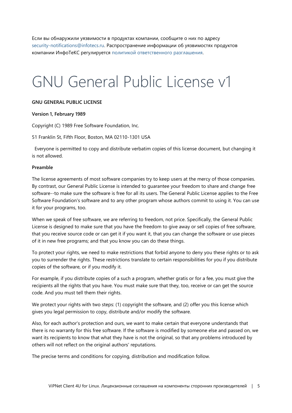Если вы обнаружили уязвимости в продуктах компании, сообщите о них по адресу [security-notifications@infotecs.ru](mailto:security-notifications@infotecs.ru). Распространение информации об уязвимостях продуктов компании ИнфоТеКС регулируется [политикой ответственного разглашения](https://infotecs.ru/disclosure.php).

### <span id="page-4-0"></span>GNU General Public License v1

#### **GNU GENERAL PUBLIC LICENSE**

#### **Version 1, February 1989**

Copyright (C) 1989 Free Software Foundation, Inc.

51 Franklin St, Fifth Floor, Boston, MA 02110-1301 USA

Everyone is permitted to copy and distribute verbatim copies of this license document, but changing it is not allowed.

#### **Preamble**

The license agreements of most software companies try to keep users at the mercy of those companies. By contrast, our General Public License is intended to guarantee your freedom to share and change free software--to make sure the software is free for all its users. The General Public License applies to the Free Software Foundation's software and to any other program whose authors commit to using it. You can use it for your programs, too.

When we speak of free software, we are referring to freedom, not price. Specifically, the General Public License is designed to make sure that you have the freedom to give away or sell copies of free software, that you receive source code or can get it if you want it, that you can change the software or use pieces of it in new free programs; and that you know you can do these things.

To protect your rights, we need to make restrictions that forbid anyone to deny you these rights or to ask you to surrender the rights. These restrictions translate to certain responsibilities for you if you distribute copies of the software, or if you modify it.

For example, if you distribute copies of a such a program, whether gratis or for a fee, you must give the recipients all the rights that you have. You must make sure that they, too, receive or can get the source code. And you must tell them their rights.

We protect your rights with two steps: (1) copyright the software, and (2) offer you this license which gives you legal permission to copy, distribute and/or modify the software.

Also, for each author's protection and ours, we want to make certain that everyone understands that there is no warranty for this free software. If the software is modified by someone else and passed on, we want its recipients to know that what they have is not the original, so that any problems introduced by others will not reflect on the original authors' reputations.

The precise terms and conditions for copying, distribution and modification follow.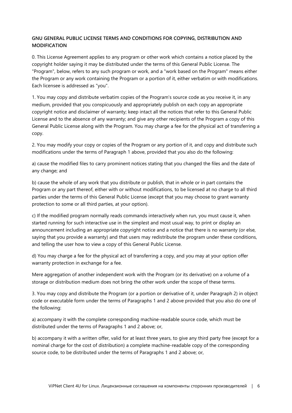### **GNU GENERAL PUBLIC LICENSE TERMS AND CONDITIONS FOR COPYING, DISTRIBUTION AND MODIFICATION**

0. This License Agreement applies to any program or other work which contains a notice placed by the copyright holder saying it may be distributed under the terms of this General Public License. The "Program", below, refers to any such program or work, and a "work based on the Program" means either the Program or any work containing the Program or a portion of it, either verbatim or with modifications. Each licensee is addressed as "you".

1. You may copy and distribute verbatim copies of the Program's source code as you receive it, in any medium, provided that you conspicuously and appropriately publish on each copy an appropriate copyright notice and disclaimer of warranty; keep intact all the notices that refer to this General Public License and to the absence of any warranty; and give any other recipients of the Program a copy of this General Public License along with the Program. You may charge a fee for the physical act of transferring a copy.

2. You may modify your copy or copies of the Program or any portion of it, and copy and distribute such modifications under the terms of Paragraph 1 above, provided that you also do the following:

a) cause the modified files to carry prominent notices stating that you changed the files and the date of any change; and

b) cause the whole of any work that you distribute or publish, that in whole or in part contains the Program or any part thereof, either with or without modifications, to be licensed at no charge to all third parties under the terms of this General Public License (except that you may choose to grant warranty protection to some or all third parties, at your option).

c) If the modified program normally reads commands interactively when run, you must cause it, when started running for such interactive use in the simplest and most usual way, to print or display an announcement including an appropriate copyright notice and a notice that there is no warranty (or else, saying that you provide a warranty) and that users may redistribute the program under these conditions, and telling the user how to view a copy of this General Public License.

d) You may charge a fee for the physical act of transferring a copy, and you may at your option offer warranty protection in exchange for a fee.

Mere aggregation of another independent work with the Program (or its derivative) on a volume of a storage or distribution medium does not bring the other work under the scope of these terms.

3. You may copy and distribute the Program (or a portion or derivative of it, under Paragraph 2) in object code or executable form under the terms of Paragraphs 1 and 2 above provided that you also do one of the following:

a) accompany it with the complete corresponding machine-readable source code, which must be distributed under the terms of Paragraphs 1 and 2 above; or,

b) accompany it with a written offer, valid for at least three years, to give any third party free (except for a nominal charge for the cost of distribution) a complete machine-readable copy of the corresponding source code, to be distributed under the terms of Paragraphs 1 and 2 above; or,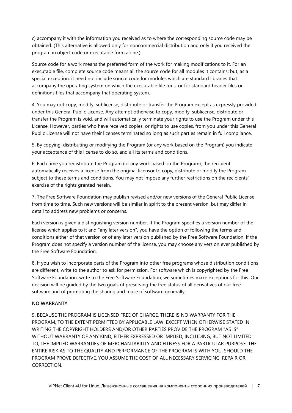c) accompany it with the information you received as to where the corresponding source code may be obtained. (This alternative is allowed only for noncommercial distribution and only if you received the program in object code or executable form alone.)

Source code for a work means the preferred form of the work for making modifications to it. For an executable file, complete source code means all the source code for all modules it contains; but, as a special exception, it need not include source code for modules which are standard libraries that accompany the operating system on which the executable file runs, or for standard header files or definitions files that accompany that operating system.

4. You may not copy, modify, sublicense, distribute or transfer the Program except as expressly provided under this General Public License. Any attempt otherwise to copy, modify, sublicense, distribute or transfer the Program is void, and will automatically terminate your rights to use the Program under this License. However, parties who have received copies, or rights to use copies, from you under this General Public License will not have their licenses terminated so long as such parties remain in full compliance.

5. By copying, distributing or modifying the Program (or any work based on the Program) you indicate your acceptance of this license to do so, and all its terms and conditions.

6. Each time you redistribute the Program (or any work based on the Program), the recipient automatically receives a license from the original licensor to copy, distribute or modify the Program subject to these terms and conditions. You may not impose any further restrictions on the recipients' exercise of the rights granted herein.

7. The Free Software Foundation may publish revised and/or new versions of the General Public License from time to time. Such new versions will be similar in spirit to the present version, but may differ in detail to address new problems or concerns.

Each version is given a distinguishing version number. If the Program specifies a version number of the license which applies to it and "any later version", you have the option of following the terms and conditions either of that version or of any later version published by the Free Software Foundation. If the Program does not specify a version number of the license, you may choose any version ever published by the Free Software Foundation.

8. If you wish to incorporate parts of the Program into other free programs whose distribution conditions are different, write to the author to ask for permission. For software which is copyrighted by the Free Software Foundation, write to the Free Software Foundation; we sometimes make exceptions for this. Our decision will be guided by the two goals of preserving the free status of all derivatives of our free software and of promoting the sharing and reuse of software generally.

#### **NO WARRANTY**

9. BECAUSE THE PROGRAM IS LICENSED FREE OF CHARGE, THERE IS NO WARRANTY FOR THE PROGRAM, TO THE EXTENT PERMITTED BY APPLICABLE LAW. EXCEPT WHEN OTHERWISE STATED IN WRITING THE COPYRIGHT HOLDERS AND/OR OTHER PARTIES PROVIDE THE PROGRAM "AS IS" WITHOUT WARRANTY OF ANY KIND, EITHER EXPRESSED OR IMPLIED, INCLUDING, BUT NOT LIMITED TO, THE IMPLIED WARRANTIES OF MERCHANTABILITY AND FITNESS FOR A PARTICULAR PURPOSE. THE ENTIRE RISK AS TO THE QUALITY AND PERFORMANCE OF THE PROGRAM IS WITH YOU. SHOULD THE PROGRAM PROVE DEFECTIVE, YOU ASSUME THE COST OF ALL NECESSARY SERVICING, REPAIR OR CORRECTION.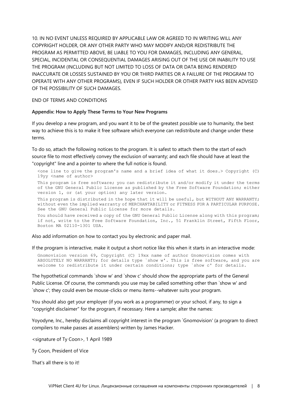10. IN NO EVENT UNLESS REQUIRED BY APPLICABLE LAW OR AGREED TO IN WRITING WILL ANY COPYRIGHT HOLDER, OR ANY OTHER PARTY WHO MAY MODIFY AND/OR REDISTRIBUTE THE PROGRAM AS PERMITTED ABOVE, BE LIABLE TO YOU FOR DAMAGES, INCLUDING ANY GENERAL, SPECIAL, INCIDENTAL OR CONSEQUENTIAL DAMAGES ARISING OUT OF THE USE OR INABILITY TO USE THE PROGRAM (INCLUDING BUT NOT LIMITED TO LOSS OF DATA OR DATA BEING RENDERED INACCURATE OR LOSSES SUSTAINED BY YOU OR THIRD PARTIES OR A FAILURE OF THE PROGRAM TO OPERATE WITH ANY OTHER PROGRAMS), EVEN IF SUCH HOLDER OR OTHER PARTY HAS BEEN ADVISED OF THE POSSIBILITY OF SUCH DAMAGES.

#### END OF TERMS AND CONDITIONS

#### **Appendix: How to Apply These Terms to Your New Programs**

If you develop a new program, and you want it to be of the greatest possible use to humanity, the best way to achieve this is to make it free software which everyone can redistribute and change under these terms.

To do so, attach the following notices to the program. It is safest to attach them to the start of each source file to most effectively convey the exclusion of warranty; and each file should have at least the "copyright" line and a pointer to where the full notice is found.

 $\zeta$ one line to give the program's name and a brief idea of what it does.> Copyright (C) 19yy <name of author>

This program is free software; you can redistribute it and/or modify it under the terms of the GNU General Public License as published by the Free Software Foundation; either version 1, or (at your option) any later version.

This program is distributed in the hope that it will be useful, but WITHOUT ANY WARRANTY; without even the implied warranty of MERCHANTABILITY or FITNESS FOR A PARTICULAR PURPOSE. See the GNU General Public License for more details.

You should have received a copy of the GNU General Public License along with this program; if not, write to the Free Software Foundation, Inc., 51 Franklin Street, Fifth Floor, Boston MA 02110-1301 USA.

Also add information on how to contact you by electronic and paper mail.

If the program is interactive, make it output a short notice like this when it starts in an interactive mode:

Gnomovision version 69, Copyright (C) 19xx name of author Gnomovision comes with ABSOLUTELY NO WARRANTY; for details type `show w'. This is free software, and you are welcome to redistribute it under certain conditions; type `show c' for details.

The hypothetical commands `show w' and `show c' should show the appropriate parts of the General Public License. Of course, the commands you use may be called something other than `show w' and `show c'; they could even be mouse-clicks or menu items--whatever suits your program.

You should also get your employer (if you work as a programmer) or your school, if any, to sign a "copyright disclaimer" for the program, if necessary. Here a sample; alter the names:

Yoyodyne, Inc., hereby disclaims all copyright interest in the program `Gnomovision' (a program to direct compilers to make passes at assemblers) written by James Hacker.

<signature of Ty Coon>, 1 April 1989

Ty Coon, President of Vice

That's all there is to it!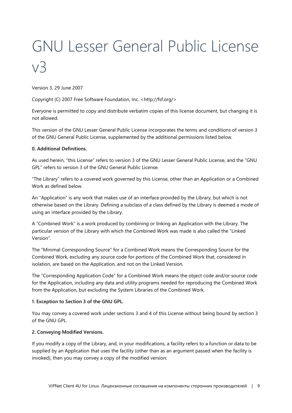# <span id="page-8-0"></span>GNU Lesser General Public License v3

Version 3, 29 June 2007

Copyright (C) 2007 Free Software Foundation, Inc. <http://fsf.org/>

Everyone is permitted to copy and distribute verbatim copies of this license document, but changing it is not allowed.

This version of the GNU Lesser General Public License incorporates the terms and conditions of version 3 of the GNU General Public License, supplemented by the additional permissions listed below.

### **0. Additional Definitions.**

As used herein, "this License" refers to version 3 of the GNU Lesser General Public License, and the "GNU GPL" refers to version 3 of the GNU General Public License.

"The Library" refers to a covered work governed by this License, other than an Application or a Combined Work as defined below.

An "Application" is any work that makes use of an interface provided by the Library, but which is not otherwise based on the Library. Defining a subclass of a class defined by the Library is deemed a mode of using an interface provided by the Library.

A "Combined Work" is a work produced by combining or linking an Application with the Library. The particular version of the Library with which the Combined Work was made is also called the "Linked Version".

The "Minimal Corresponding Source" for a Combined Work means the Corresponding Source for the Combined Work, excluding any source code for portions of the Combined Work that, considered in isolation, are based on the Application, and not on the Linked Version.

The "Corresponding Application Code" for a Combined Work means the object code and/or source code for the Application, including any data and utility programs needed for reproducing the Combined Work from the Application, but excluding the System Libraries of the Combined Work.

#### **1. Exception to Section 3 of the GNU GPL.**

You may convey a covered work under sections 3 and 4 of this License without being bound by section 3 of the GNU GPL.

### **2. Conveying Modified Versions.**

If you modify a copy of the Library, and, in your modifications, a facility refers to a function or data to be supplied by an Application that uses the facility (other than as an argument passed when the facility is invoked), then you may convey a copy of the modified version: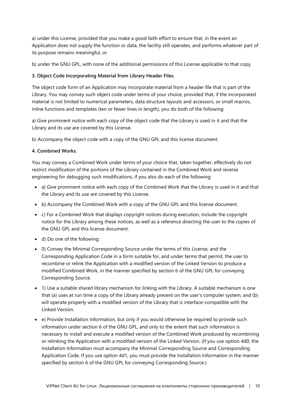a) under this License, provided that you make a good faith effort to ensure that, in the event an Application does not supply the function or data, the facility still operates, and performs whatever part of its purpose remains meaningful, or

b) under the GNU GPL, with none of the additional permissions of this License applicable to that copy.

### **3. Object Code Incorporating Material from Library Header Files.**

The object code form of an Application may incorporate material from a header file that is part of the Library. You may convey such object code under terms of your choice, provided that, if the incorporated material is not limited to numerical parameters, data structure layouts and accessors, or small macros, inline functions and templates (ten or fewer lines in length), you do both of the following:

a) Give prominent notice with each copy of the object code that the Library is used in it and that the Library and its use are covered by this License.

b) Accompany the object code with a copy of the GNU GPL and this license document.

### **4. Combined Works.**

You may convey a Combined Work under terms of your choice that, taken together, effectively do not restrict modification of the portions of the Library contained in the Combined Work and reverse engineering for debugging such modifications, if you also do each of the following:

- a) Give prominent notice with each copy of the Combined Work that the Library is used in it and that the Library and its use are covered by this License.
- b) Accompany the Combined Work with a copy of the GNU GPL and this license document.
- c) For a Combined Work that displays copyright notices during execution, include the copyright notice for the Library among these notices, as well as a reference directing the user to the copies of the GNU GPL and this license document.
- d) Do one of the following:
- 0) Convey the Minimal Corresponding Source under the terms of this License, and the Corresponding Application Code in a form suitable for, and under terms that permit, the user to recombine or relink the Application with a modified version of the Linked Version to produce a modified Combined Work, in the manner specified by section 6 of the GNU GPL for conveying Corresponding Source.
- 1) Use a suitable shared library mechanism for linking with the Library. A suitable mechanism is one that (a) uses at run time a copy of the Library already present on the user's computer system, and (b) will operate properly with a modified version of the Library that is interface-compatible with the Linked Version.
- e) Provide Installation Information, but only if you would otherwise be required to provide such information under section 6 of the GNU GPL, and only to the extent that such information is necessary to install and execute a modified version of the Combined Work produced by recombining or relinking the Application with a modified version of the Linked Version. (If you use option 4d0, the Installation Information must accompany the Minimal Corresponding Source and Corresponding Application Code. If you use option 4d1, you must provide the Installation Information in the manner specified by section 6 of the GNU GPL for conveying Corresponding Source.)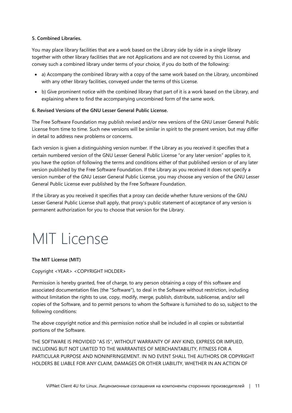### **5. Combined Libraries.**

You may place library facilities that are a work based on the Library side by side in a single library together with other library facilities that are not Applications and are not covered by this License, and convey such a combined library under terms of your choice, if you do both of the following:

- a) Accompany the combined library with a copy of the same work based on the Library, uncombined with any other library facilities, conveyed under the terms of this License.
- b) Give prominent notice with the combined library that part of it is a work based on the Library, and explaining where to find the accompanying uncombined form of the same work.

### **6. Revised Versions of the GNU Lesser General Public License.**

The Free Software Foundation may publish revised and/or new versions of the GNU Lesser General Public License from time to time. Such new versions will be similar in spirit to the present version, but may differ in detail to address new problems or concerns.

Each version is given a distinguishing version number. If the Library as you received it specifies that a certain numbered version of the GNU Lesser General Public License "or any later version" applies to it, you have the option of following the terms and conditions either of that published version or of any later version published by the Free Software Foundation. If the Library as you received it does not specify a version number of the GNU Lesser General Public License, you may choose any version of the GNU Lesser General Public License ever published by the Free Software Foundation.

If the Library as you received it specifies that a proxy can decide whether future versions of the GNU Lesser General Public License shall apply, that proxy's public statement of acceptance of any version is permanent authorization for you to choose that version for the Library.

### <span id="page-10-0"></span>MIT License

**The MIT License (MIT)**

Copyright <YEAR> <COPYRIGHT HOLDER>

Permission is hereby granted, free of charge, to any person obtaining a copy of this software and associated documentation files (the "Software"), to deal in the Software without restriction, including without limitation the rights to use, copy, modify, merge, publish, distribute, sublicense, and/or sell copies of the Software, and to permit persons to whom the Software is furnished to do so, subject to the following conditions:

The above copyright notice and this permission notice shall be included in all copies or substantial portions of the Software.

THE SOFTWARE IS PROVIDED "AS IS", WITHOUT WARRANTY OF ANY KIND, EXPRESS OR IMPLIED, INCLUDING BUT NOT LIMITED TO THE WARRANTIES OF MERCHANTABILITY, FITNESS FOR A PARTICULAR PURPOSE AND NONINFRINGEMENT. IN NO EVENT SHALL THE AUTHORS OR COPYRIGHT HOLDERS BE LIABLE FOR ANY CLAIM, DAMAGES OR OTHER LIABILITY, WHETHER IN AN ACTION OF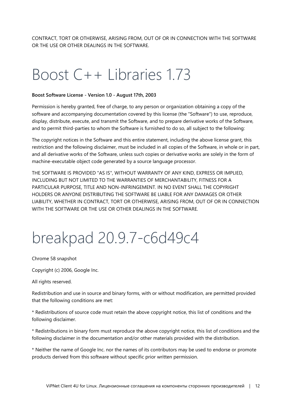<span id="page-11-0"></span>CONTRACT, TORT OR OTHERWISE, ARISING FROM, OUT OF OR IN CONNECTION WITH THE SOFTWARE OR THE USE OR OTHER DEALINGS IN THE SOFTWARE.

### Boost C++ Libraries 1.73

#### **Boost Software License - Version 1.0 - August 17th, 2003**

Permission is hereby granted, free of charge, to any person or organization obtaining a copy of the software and accompanying documentation covered by this license (the "Software") to use, reproduce, display, distribute, execute, and transmit the Software, and to prepare derivative works of the Software, and to permit third-parties to whom the Software is furnished to do so, all subject to the following:

The copyright notices in the Software and this entire statement, including the above license grant, this restriction and the following disclaimer, must be included in all copies of the Software, in whole or in part, and all derivative works of the Software, unless such copies or derivative works are solely in the form of machine-executable object code generated by a source language processor.

THE SOFTWARE IS PROVIDED "AS IS", WITHOUT WARRANTY OF ANY KIND, EXPRESS OR IMPLIED, INCLUDING BUT NOT LIMITED TO THE WARRANTIES OF MERCHANTABILITY, FITNESS FOR A PARTICULAR PURPOSE, TITLE AND NON-INFRINGEMENT. IN NO EVENT SHALL THE COPYRIGHT HOLDERS OR ANYONE DISTRIBUTING THE SOFTWARE BE LIABLE FOR ANY DAMAGES OR OTHER LIABILITY, WHETHER IN CONTRACT, TORT OR OTHERWISE, ARISING FROM, OUT OF OR IN CONNECTION WITH THE SOFTWARE OR THE USE OR OTHER DEALINGS IN THE SOFTWARE.

### <span id="page-11-1"></span>breakpad 20.9.7-c6d49c4

Chrome 58 snapshot

Copyright (c) 2006, Google Inc.

All rights reserved.

Redistribution and use in source and binary forms, with or without modification, are permitted provided that the following conditions are met:

\* Redistributions of source code must retain the above copyright notice, this list of conditions and the following disclaimer.

\* Redistributions in binary form must reproduce the above copyright notice, this list of conditions and the following disclaimer in the documentation and/or other materials provided with the distribution.

\* Neither the name of Google Inc. nor the names of its contributors may be used to endorse or promote products derived from this software without specific prior written permission.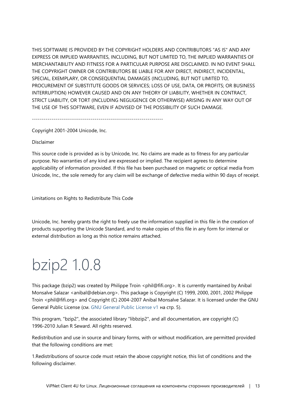THIS SOFTWARE IS PROVIDED BY THE COPYRIGHT HOLDERS AND CONTRIBUTORS "AS IS" AND ANY EXPRESS OR IMPLIED WARRANTIES, INCLUDING, BUT NOT LIMITED TO, THE IMPLIED WARRANTIES OF MERCHANTABILITY AND FITNESS FOR A PARTICULAR PURPOSE ARE DISCLAIMED. IN NO EVENT SHALL THE COPYRIGHT OWNER OR CONTRIBUTORS BE LIABLE FOR ANY DIRECT, INDIRECT, INCIDENTAL, SPECIAL, EXEMPLARY, OR CONSEQUENTIAL DAMAGES (INCLUDING, BUT NOT LIMITED TO, PROCUREMENT OF SUBSTITUTE GOODS OR SERVICES; LOSS OF USE, DATA, OR PROFITS; OR BUSINESS INTERRUPTION) HOWEVER CAUSED AND ON ANY THEORY OF LIABILITY, WHETHER IN CONTRACT, STRICT LIABILITY, OR TORT (INCLUDING NEGLIGENCE OR OTHERWISE) ARISING IN ANY WAY OUT OF THE USE OF THIS SOFTWARE, EVEN IF ADVISED OF THE POSSIBILITY OF SUCH DAMAGE.

-------------------------------------------------------------------

Copyright 2001-2004 Unicode, Inc.

Disclaimer

This source code is provided as is by Unicode, Inc. No claims are made as to fitness for any particular purpose. No warranties of any kind are expressed or implied. The recipient agrees to determine applicability of information provided. If this file has been purchased on magnetic or optical media from Unicode, Inc., the sole remedy for any claim will be exchange of defective media within 90 days of receipt.

Limitations on Rights to Redistribute This Code

Unicode, Inc. hereby grants the right to freely use the information supplied in this file in the creation of products supporting the Unicode Standard, and to make copies of this file in any form for internal or external distribution as long as this notice remains attached.

# <span id="page-12-0"></span>bzip2 1.0.8

This package (bzip2) was created by Philippe Troin <phil@fifi.org>. It is currently mantained by Anibal Monsalve Salazar <anibal@debian.org>. This package is Copyright (C) 1999, 2000, 2001, 2002 Philippe Troin <phil@fifi.org> and Copyright (C) 2004-2007 Anibal Monsalve Salazar. It is licensed under the GNU General Public License (см. [GNU General Public License v1](#page-4-0) на стр. [5\)](#page-4-0).

This program, "bzip2", the associated library "libbzip2", and all documentation, are copyright (C) 1996-2010 Julian R Seward. All rights reserved.

Redistribution and use in source and binary forms, with or without modification, are permitted provided that the following conditions are met:

1.Redistributions of source code must retain the above copyright notice, this list of conditions and the following disclaimer.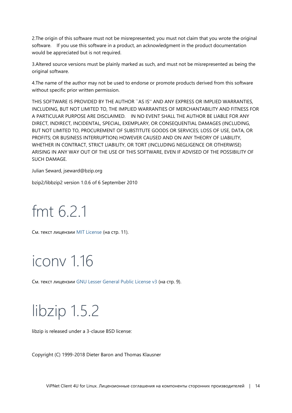2.The origin of this software must not be misrepresented; you must not claim that you wrote the original software. If you use this software in a product, an acknowledgment in the product documentation would be appreciated but is not required.

3.Altered source versions must be plainly marked as such, and must not be misrepresented as being the original software.

4.The name of the author may not be used to endorse or promote products derived from this software without specific prior written permission.

THIS SOFTWARE IS PROVIDED BY THE AUTHOR ``AS IS'' AND ANY EXPRESS OR IMPLIED WARRANTIES, INCLUDING, BUT NOT LIMITED TO, THE IMPLIED WARRANTIES OF MERCHANTABILITY AND FITNESS FOR A PARTICULAR PURPOSE ARE DISCLAIMED. IN NO EVENT SHALL THE AUTHOR BE LIABLE FOR ANY DIRECT, INDIRECT, INCIDENTAL, SPECIAL, EXEMPLARY, OR CONSEQUENTIAL DAMAGES (INCLUDING, BUT NOT LIMITED TO, PROCUREMENT OF SUBSTITUTE GOODS OR SERVICES; LOSS OF USE, DATA, OR PROFITS; OR BUSINESS INTERRUPTION) HOWEVER CAUSED AND ON ANY THEORY OF LIABILITY, WHETHER IN CONTRACT, STRICT LIABILITY, OR TORT (INCLUDING NEGLIGENCE OR OTHERWISE) ARISING IN ANY WAY OUT OF THE USE OF THIS SOFTWARE, EVEN IF ADVISED OF THE POSSIBILITY OF SUCH DAMAGE.

Julian Seward, jseward@bzip.org

<span id="page-13-0"></span>bzip2/libbzip2 version 1.0.6 of 6 September 2010

### fmt 6.2.1

<span id="page-13-1"></span>См. текст лицензии [MIT License](#page-10-0) (на стр. [11\)](#page-10-0).

### iconv 1.16

<span id="page-13-2"></span>См. текст лицензии [GNU Lesser General Public License v3](#page-8-0) (на стр. [9\)](#page-8-0).

### libzip 1.5.2

libzip is released under a 3-clause BSD license:

Copyright (C) 1999-2018 Dieter Baron and Thomas Klausner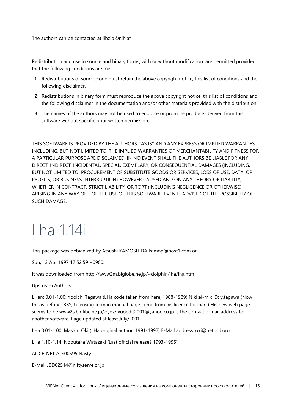The authors can be contacted at libzip@nih.at

Redistribution and use in source and binary forms, with or without modification, are permitted provided that the following conditions are met:

- **1** Redistributions of source code must retain the above copyright notice, this list of conditions and the following disclaimer.
- **2** Redistributions in binary form must reproduce the above copyright notice, this list of conditions and the following disclaimer in the documentation and/or other materials provided with the distribution.
- **3** The names of the authors may not be used to endorse or promote products derived from this software without specific prior written permission.

THIS SOFTWARE IS PROVIDED BY THE AUTHORS ``AS IS'' AND ANY EXPRESS OR IMPLIED WARRANTIES, INCLUDING, BUT NOT LIMITED TO, THE IMPLIED WARRANTIES OF MERCHANTABILITY AND FITNESS FOR A PARTICULAR PURPOSE ARE DISCLAIMED. IN NO EVENT SHALL THE AUTHORS BE LIABLE FOR ANY DIRECT, INDIRECT, INCIDENTAL, SPECIAL, EXEMPLARY, OR CONSEQUENTIAL DAMAGES (INCLUDING, BUT NOT LIMITED TO, PROCUREMENT OF SUBSTITUTE GOODS OR SERVICES; LOSS OF USE, DATA, OR PROFITS; OR BUSINESS INTERRUPTION) HOWEVER CAUSED AND ON ANY THEORY OF LIABILITY, WHETHER IN CONTRACT, STRICT LIABILITY, OR TORT (INCLUDING NEGLIGENCE OR OTHERWISE) ARISING IN ANY WAY OUT OF THE USE OF THIS SOFTWARE, EVEN IF ADVISED OF THE POSSIBILITY OF SUCH DAMAGE.

### <span id="page-14-0"></span>Lha 1.14i

This package was debianized by Atsushi KAMOSHIDA kamop@post1.com on

Sun, 13 Apr 1997 17:52:59 +0900.

It was downloaded from http://www2m.biglobe.ne.jp/~dolphin/lha/lha.htm

Upstream Authors:

LHarc 0.01-1.00: Yooichi Tagawa (LHa code taken from here, 1988-1989) Nikkei-mix ID: y.tagawa (Now this is defunct BBS, Licensing term in manual page come from his licence for lharc) His new web page seems to be www2s.biglibe.ne.jp/~yex/ yooedit2001@yahoo.co.jp is the contact e-mail address for another software. Page updated at least July/2001

LHa 0.01-1.00: Masaru Oki (LHa original author, 1991-1992) E-Mail address: oki@netbsd.org

LHa 1.10-1.14: Nobutaka Watazaki (Last official release? 1993-1995)

ALICE-NET ALS00595 Nasty

E-Mail JBD02514@niftyserve.or.jp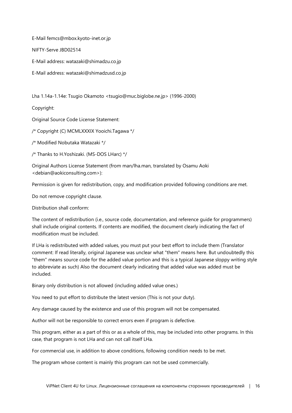E-Mail femcs@mbox.kyoto-inet.or.jp

NIFTY-Serve JBD02514

E-Mail address: watazaki@shimadzu.co.jp

E-Mail address: watazaki@shimadzusd.co.jp

Lha 1.14a-1.14e: Tsugio Okamoto <tsugio@muc.biglobe.ne.jp> (1996-2000)

Copyright:

Original Source Code License Statement:

/\* Copyright (C) MCMLXXXIX Yooichi.Tagawa \*/

/\* Modified Nobutaka Watazaki \*/

/\* Thanks to H.Yoshizaki. (MS-DOS LHarc) \*/

Original Authors License Statement (from man/lha.man, translated by Osamu Aoki <debian@aokiconsulting.com>):

Permission is given for redistribution, copy, and modification provided following conditions are met.

Do not remove copyright clause.

Distribution shall conform:

The content of redistribution (i.e., source code, documentation, and reference guide for programmers) shall include original contents. If contents are modified, the document clearly indicating the fact of modification must be included.

If LHa is redistributed with added values, you must put your best effort to include them (Translator comment: If read literally, original Japanese was unclear what "them" means here. But undoubtedly this "them" means source code for the added value portion and this is a typical Japanese sloppy writing style to abbreviate as such) Also the document clearly indicating that added value was added must be included.

Binary only distribution is not allowed (including added value ones.)

You need to put effort to distribute the latest version (This is not your duty).

Any damage caused by the existence and use of this program will not be compensated.

Author will not be responsible to correct errors even if program is defective.

This program, either as a part of this or as a whole of this, may be included into other programs. In this case, that program is not LHa and can not call itself LHa.

For commercial use, in addition to above conditions, following condition needs to be met.

The program whose content is mainly this program can not be used commercially.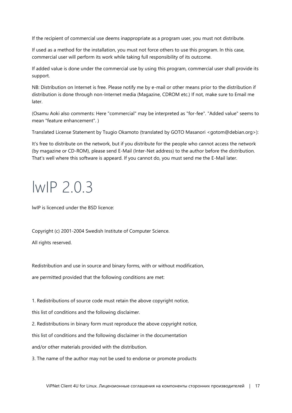If the recipient of commercial use deems inappropriate as a program user, you must not distribute.

If used as a method for the installation, you must not force others to use this program. In this case, commercial user will perform its work while taking full responsibility of its outcome.

If added value is done under the commercial use by using this program, commercial user shall provide its support.

NB: Distribution on Internet is free. Please notify me by e-mail or other means prior to the distribution if distribution is done through non-Internet media (Magazine, CDROM etc.) If not, make sure to Email me later.

(Osamu Aoki also comments: Here "commercial" may be interpreted as "for-fee". "Added value" seems to mean "feature enhancement". )

Translated License Statement by Tsugio Okamoto (translated by GOTO Masanori <gotom@debian.org>):

It's free to distribute on the network, but if you distribute for the people who cannot access the network (by magazine or CD-ROM), please send E-Mail (Inter-Net address) to the author before the distribution. That's well where this software is appeard. If you cannot do, you must send me the E-Mail later.

### <span id="page-16-0"></span>lwIP 2.0.3

lwIP is licenced under the BSD licence:

Copyright (c) 2001-2004 Swedish Institute of Computer Science.

All rights reserved.

Redistribution and use in source and binary forms, with or without modification,

are permitted provided that the following conditions are met:

1. Redistributions of source code must retain the above copyright notice,

this list of conditions and the following disclaimer.

2. Redistributions in binary form must reproduce the above copyright notice,

this list of conditions and the following disclaimer in the documentation

and/or other materials provided with the distribution.

3. The name of the author may not be used to endorse or promote products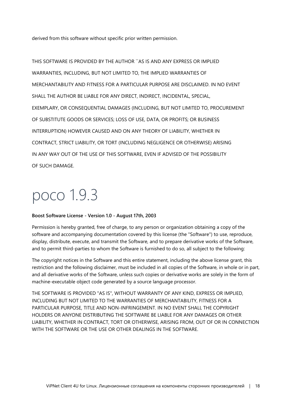derived from this software without specific prior written permission.

THIS SOFTWARE IS PROVIDED BY THE AUTHOR ``AS IS AND ANY EXPRESS OR IMPLIED WARRANTIES, INCLUDING, BUT NOT LIMITED TO, THE IMPLIED WARRANTIES OF MERCHANTABILITY AND FITNESS FOR A PARTICULAR PURPOSE ARE DISCLAIMED. IN NO EVENT SHALL THE AUTHOR BE LIABLE FOR ANY DIRECT, INDIRECT, INCIDENTAL, SPECIAL, EXEMPLARY, OR CONSEQUENTIAL DAMAGES (INCLUDING, BUT NOT LIMITED TO, PROCUREMENT OF SUBSTITUTE GOODS OR SERVICES; LOSS OF USE, DATA, OR PROFITS; OR BUSINESS INTERRUPTION) HOWEVER CAUSED AND ON ANY THEORY OF LIABILITY, WHETHER IN CONTRACT, STRICT LIABILITY, OR TORT (INCLUDING NEGLIGENCE OR OTHERWISE) ARISING IN ANY WAY OUT OF THE USE OF THIS SOFTWARE, EVEN IF ADVISED OF THE POSSIBILITY OF SUCH DAMAGE.

### <span id="page-17-0"></span>poco 1.9.3

#### **Boost Software License - Version 1.0 - August 17th, 2003**

Permission is hereby granted, free of charge, to any person or organization obtaining a copy of the software and accompanying documentation covered by this license (the "Software") to use, reproduce, display, distribute, execute, and transmit the Software, and to prepare derivative works of the Software, and to permit third-parties to whom the Software is furnished to do so, all subject to the following:

The copyright notices in the Software and this entire statement, including the above license grant, this restriction and the following disclaimer, must be included in all copies of the Software, in whole or in part, and all derivative works of the Software, unless such copies or derivative works are solely in the form of machine-executable object code generated by a source language processor.

THE SOFTWARE IS PROVIDED "AS IS", WITHOUT WARRANTY OF ANY KIND, EXPRESS OR IMPLIED, INCLUDING BUT NOT LIMITED TO THE WARRANTIES OF MERCHANTABILITY, FITNESS FOR A PARTICULAR PURPOSE, TITLE AND NON-INFRINGEMENT. IN NO EVENT SHALL THE COPYRIGHT HOLDERS OR ANYONE DISTRIBUTING THE SOFTWARE BE LIABLE FOR ANY DAMAGES OR OTHER LIABILITY, WHETHER IN CONTRACT, TORT OR OTHERWISE, ARISING FROM, OUT OF OR IN CONNECTION WITH THE SOFTWARE OR THE USE OR OTHER DEALINGS IN THE SOFTWARE.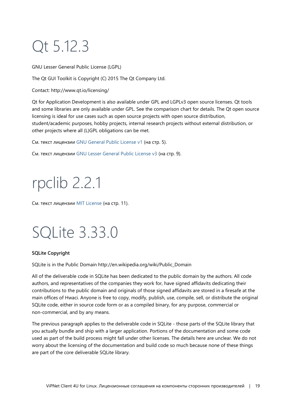# <span id="page-18-0"></span>Qt 5.12.3

GNU Lesser General Public License (LGPL)

The Qt GUI Toolkit is Copyright (C) 2015 The Qt Company Ltd.

Contact: http://www.qt.io/licensing/

Qt for Application Development is also available under GPL and LGPLv3 open source licenses. Qt tools and some libraries are only available under GPL. See the comparison chart for details. The Qt open source licensing is ideal for use cases such as open source projects with open source distribution, student/academic purposes, hobby projects, internal research projects without external distribution, or other projects where all (L)GPL obligations can be met.

См. текст лицензии [GNU General Public License v1](#page-4-0) (на стр. [5\)](#page-4-0).

<span id="page-18-1"></span>См. текст лицензии [GNU Lesser General Public License v3](#page-8-0) (на стр. [9\)](#page-8-0).

# rpclib 2.2.1

<span id="page-18-2"></span>См. текст лицензии [MIT License](#page-10-0) (на стр. [11\)](#page-10-0).

### SQLite 3.33.0

### **SQLite Copyright**

SQLite is in the Public Domain http://en.wikipedia.org/wiki/Public\_Domain

All of the deliverable code in SQLite has been dedicated to the public domain by the authors. All code authors, and representatives of the companies they work for, have signed affidavits dedicating their contributions to the public domain and originals of those signed affidavits are stored in a firesafe at the main offices of Hwaci. Anyone is free to copy, modify, publish, use, compile, sell, or distribute the original SQLite code, either in source code form or as a compiled binary, for any purpose, commercial or non-commercial, and by any means.

The previous paragraph applies to the deliverable code in SQLite - those parts of the SQLite library that you actually bundle and ship with a larger application. Portions of the documentation and some code used as part of the build process might fall under other licenses. The details here are unclear. We do not worry about the licensing of the documentation and build code so much because none of these things are part of the core deliverable SQLite library.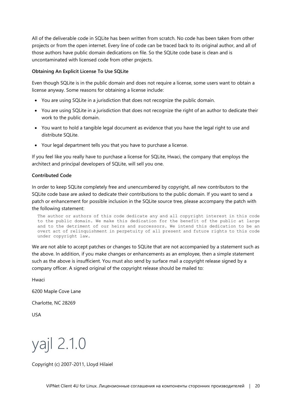All of the deliverable code in SQLite has been written from scratch. No code has been taken from other projects or from the open internet. Every line of code can be traced back to its original author, and all of those authors have public domain dedications on file. So the SQLite code base is clean and is uncontaminated with licensed code from other projects.

#### **Obtaining An Explicit License To Use SQLite**

Even though SQLite is in the public domain and does not require a license, some users want to obtain a license anyway. Some reasons for obtaining a license include:

- You are using SQLite in a jurisdiction that does not recognize the public domain.
- You are using SQLite in a jurisdiction that does not recognize the right of an author to dedicate their work to the public domain.
- You want to hold a tangible legal document as evidence that you have the legal right to use and distribute SQLite.
- Your legal department tells you that you have to purchase a license.

If you feel like you really have to purchase a license for SQLite, Hwaci, the company that employs the architect and principal developers of SQLite, will sell you one.

#### **Contributed Code**

In order to keep SQLite completely free and unencumbered by copyright, all new contributors to the SQLite code base are asked to dedicate their contributions to the public domain. If you want to send a patch or enhancement for possible inclusion in the SQLite source tree, please accompany the patch with the following statement:

The author or authors of this code dedicate any and all copyright interest in this code to the public domain. We make this dedication for the benefit of the public at large and to the detriment of our heirs and successors. We intend this dedication to be an overt act of relinquishment in perpetuity of all present and future rights to this code under copyright law.

We are not able to accept patches or changes to SQLite that are not accompanied by a statement such as the above. In addition, if you make changes or enhancements as an employee, then a simple statement such as the above is insufficient. You must also send by surface mail a copyright release signed by a company officer. A signed original of the copyright release should be mailed to:

Hwaci

6200 Maple Cove Lane

Charlotte, NC 28269

<span id="page-19-0"></span>USA

yajl 2.1.0

Copyright (c) 2007-2011, Lloyd Hilaiel